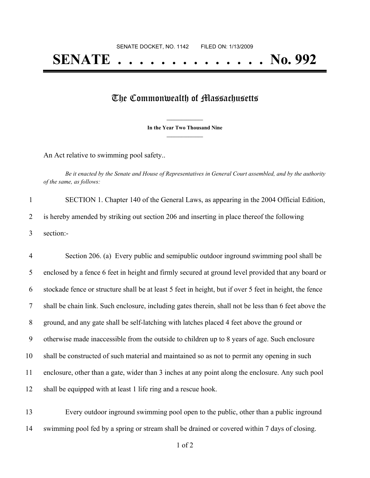## **SENATE . . . . . . . . . . . . . . No. 992**

## The Commonwealth of Massachusetts

**\_\_\_\_\_\_\_\_\_\_\_\_\_\_\_ In the Year Two Thousand Nine \_\_\_\_\_\_\_\_\_\_\_\_\_\_\_**

An Act relative to swimming pool safety..

Be it enacted by the Senate and House of Representatives in General Court assembled, and by the authority *of the same, as follows:*

 SECTION 1. Chapter 140 of the General Laws, as appearing in the 2004 Official Edition, is hereby amended by striking out section 206 and inserting in place thereof the following section:-

 Section 206. (a) Every public and semipublic outdoor inground swimming pool shall be enclosed by a fence 6 feet in height and firmly secured at ground level provided that any board or stockade fence or structure shall be at least 5 feet in height, but if over 5 feet in height, the fence shall be chain link. Such enclosure, including gates therein, shall not be less than 6 feet above the ground, and any gate shall be self-latching with latches placed 4 feet above the ground or otherwise made inaccessible from the outside to children up to 8 years of age. Such enclosure shall be constructed of such material and maintained so as not to permit any opening in such enclosure, other than a gate, wider than 3 inches at any point along the enclosure. Any such pool shall be equipped with at least 1 life ring and a rescue hook.

 Every outdoor inground swimming pool open to the public, other than a public inground swimming pool fed by a spring or stream shall be drained or covered within 7 days of closing.